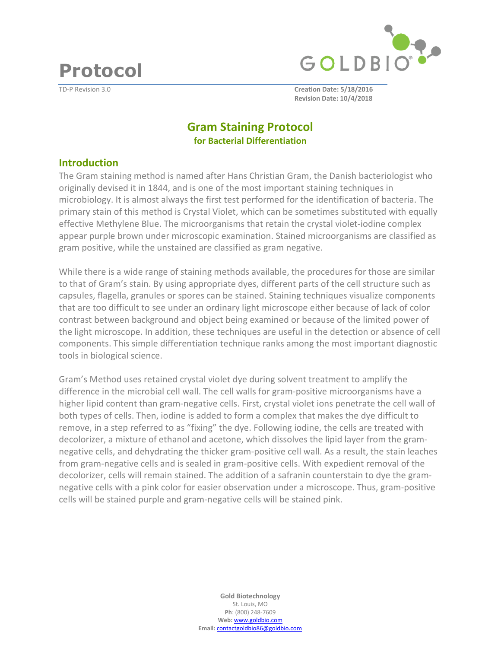**Protocol** 



TD-P Revision 3.0 **Creation Date: 5/18/2016 Revision Date: 10/4/2018**

# **Gram Staining Protocol for Bacterial Differentiation**

### **Introduction**

The Gram staining method is named after Hans Christian Gram, the Danish bacteriologist who originally devised it in 1844, and is one of the most important staining techniques in microbiology. It is almost always the first test performed for the identification of bacteria. The primary stain of this method is Crystal Violet, which can be sometimes substituted with equally effective Methylene Blue. The microorganisms that retain the crystal violet-iodine complex appear purple brown under microscopic examination. Stained microorganisms are classified as gram positive, while the unstained are classified as gram negative.

While there is a wide range of staining methods available, the procedures for those are similar to that of Gram's stain. By using appropriate dyes, different parts of the cell structure such as capsules, flagella, granules or spores can be stained. Staining techniques visualize components that are too difficult to see under an ordinary light microscope either because of lack of color contrast between background and object being examined or because of the limited power of the light microscope. In addition, these techniques are useful in the detection or absence of cell components. This simple differentiation technique ranks among the most important diagnostic tools in biological science.

Gram's Method uses retained crystal violet dye during solvent treatment to amplify the difference in the microbial cell wall. The cell walls for gram-positive microorganisms have a higher lipid content than gram-negative cells. First, crystal violet ions penetrate the cell wall of both types of cells. Then, iodine is added to form a complex that makes the dye difficult to remove, in a step referred to as "fixing" the dye. Following iodine, the cells are treated with decolorizer, a mixture of ethanol and acetone, which dissolves the lipid layer from the gramnegative cells, and dehydrating the thicker gram-positive cell wall. As a result, the stain leaches from gram-negative cells and is sealed in gram-positive cells. With expedient removal of the decolorizer, cells will remain stained. The addition of a safranin counterstain to dye the gramnegative cells with a pink color for easier observation under a microscope. Thus, gram-positive cells will be stained purple and gram-negative cells will be stained pink.

> **Gold Biotechnology**  St. Louis, MO **Ph**: (800) 248-7609 **Web:** www.goldbio.com **Email:** contactgoldbio86@goldbio.com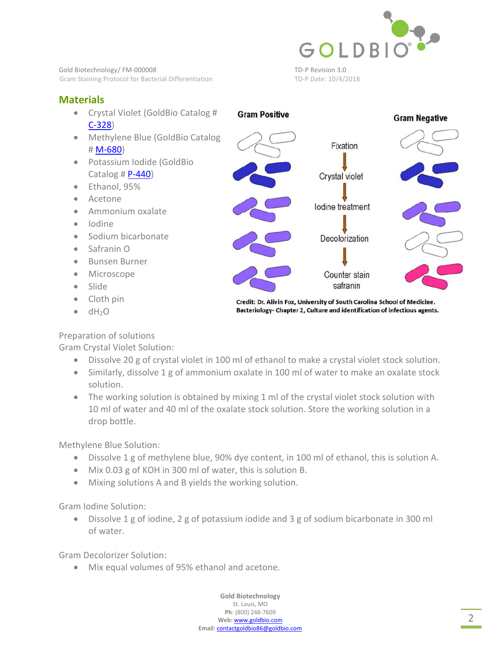

Gold Biotechnology/FM-000008 TD-P Revision 3.0 Gram Staining Protocol for Bacterial Differentiation TD-P Date: 10/4/2018

# **Materials**

- Crystal Violet (GoldBio Catalog # [C-328\)](https://www.goldbio.com/product/1037/crystal-violet)
- Methylene Blue (GoldBio Catalog [# M-680](https://www.goldbio.com/product/3886/methylene-blue))
- Potassium Iodide (GoldBio Catalog # $P-440$
- Ethanol, 95%
- Acetone
- Ammonium oxalate
- Iodine
- Sodium bicarbonate
- Safranin O
- Bunsen Burner
- Microscope
- Slide
- Cloth pin
- $\bullet$  dH<sub>2</sub>O

Preparation of solutions

Gram Crystal Violet Solution:

- Dissolve 20 g of crystal violet in 100 ml of ethanol to make a crystal violet stock solution.
- Similarly, dissolve 1 g of ammonium oxalate in 100 ml of water to make an oxalate stock solution.
- The working solution is obtained by mixing 1 ml of the crystal violet stock solution with 10 ml of water and 40 ml of the oxalate stock solution. Store the working solution in a drop bottle.

Methylene Blue Solution:

- Dissolve 1 g of methylene blue, 90% dye content, in 100 ml of ethanol, this is solution A.
- Mix 0.03 g of KOH in 300 ml of water, this is solution B.
- Mixing solutions A and B yields the working solution.

Gram Iodine Solution:

 Dissolve 1 g of iodine, 2 g of potassium iodide and 3 g of sodium bicarbonate in 300 ml of water.

Gram Decolorizer Solution:

Mix equal volumes of 95% ethanol and acetone.



Credit: Dr. Alivin Fox, University of South Carolina School of Medicine. Bacteriology- Chapter 2, Culture and identification of infectious agents.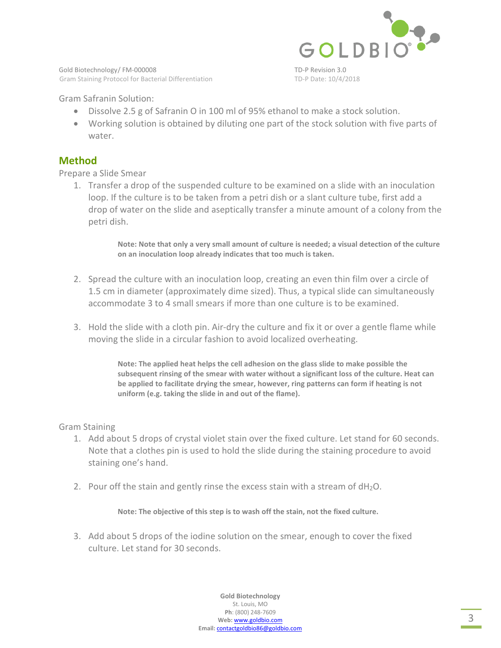

Gold Biotechnology/FM-000008 TD-P Revision 3.0 Gram Staining Protocol for Bacterial Differentiation TD-P Date: 10/4/2018

Gram Safranin Solution:

- Dissolve 2.5 g of Safranin O in 100 ml of 95% ethanol to make a stock solution.
- Working solution is obtained by diluting one part of the stock solution with five parts of water.

### **Method**

Prepare a Slide Smear

1. Transfer a drop of the suspended culture to be examined on a slide with an inoculation loop. If the culture is to be taken from a petri dish or a slant culture tube, first add a drop of water on the slide and aseptically transfer a minute amount of a colony from the petri dish.

> **Note: Note that only a very small amount of culture is needed; a visual detection of the culture on an inoculation loop already indicates that too much is taken.**

- 2. Spread the culture with an inoculation loop, creating an even thin film over a circle of 1.5 cm in diameter (approximately dime sized). Thus, a typical slide can simultaneously accommodate 3 to 4 small smears if more than one culture is to be examined.
- 3. Hold the slide with a cloth pin. Air-dry the culture and fix it or over a gentle flame while moving the slide in a circular fashion to avoid localized overheating.

**Note: The applied heat helps the cell adhesion on the glass slide to make possible the subsequent rinsing of the smear with water without a significant loss of the culture. Heat can be applied to facilitate drying the smear, however, ring patterns can form if heating is not uniform (e.g. taking the slide in and out of the flame).** 

#### Gram Staining

- 1. Add about 5 drops of crystal violet stain over the fixed culture. Let stand for 60 seconds. Note that a clothes pin is used to hold the slide during the staining procedure to avoid staining one's hand.
- 2. Pour off the stain and gently rinse the excess stain with a stream of  $dH_2O$ .

**Note: The objective of this step is to wash off the stain, not the fixed culture.** 

3. Add about 5 drops of the iodine solution on the smear, enough to cover the fixed culture. Let stand for 30 seconds.